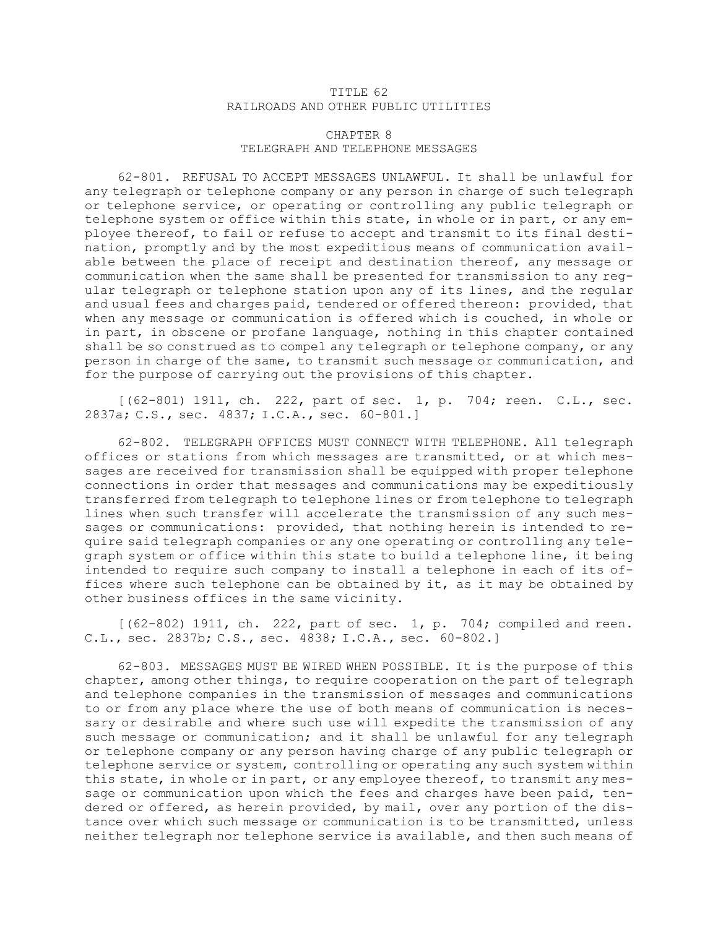## TITLE 62 RAILROADS AND OTHER PUBLIC UTILITIES

## CHAPTER 8 TELEGRAPH AND TELEPHONE MESSAGES

62-801. REFUSAL TO ACCEPT MESSAGES UNLAWFUL. It shall be unlawful for any telegraph or telephone company or any person in charge of such telegraph or telephone service, or operating or controlling any public telegraph or telephone system or office within this state, in whole or in part, or any employee thereof, to fail or refuse to accept and transmit to its final destination, promptly and by the most expeditious means of communication available between the place of receipt and destination thereof, any message or communication when the same shall be presented for transmission to any regular telegraph or telephone station upon any of its lines, and the regular and usual fees and charges paid, tendered or offered thereon: provided, that when any message or communication is offered which is couched, in whole or in part, in obscene or profane language, nothing in this chapter contained shall be so construed as to compel any telegraph or telephone company, or any person in charge of the same, to transmit such message or communication, and for the purpose of carrying out the provisions of this chapter.

[(62-801) 1911, ch. 222, part of sec. 1, p. 704; reen. C.L., sec. 2837a; C.S., sec. 4837; I.C.A., sec. 60-801.]

62-802. TELEGRAPH OFFICES MUST CONNECT WITH TELEPHONE. All telegraph offices or stations from which messages are transmitted, or at which messages are received for transmission shall be equipped with proper telephone connections in order that messages and communications may be expeditiously transferred from telegraph to telephone lines or from telephone to telegraph lines when such transfer will accelerate the transmission of any such messages or communications: provided, that nothing herein is intended to require said telegraph companies or any one operating or controlling any telegraph system or office within this state to build <sup>a</sup> telephone line, it being intended to require such company to install <sup>a</sup> telephone in each of its offices where such telephone can be obtained by it, as it may be obtained by other business offices in the same vicinity.

 $[(62-802)$  1911, ch. 222, part of sec. 1, p. 704; compiled and reen. C.L., sec. 2837b; C.S., sec. 4838; I.C.A., sec. 60-802.]

62-803. MESSAGES MUST BE WIRED WHEN POSSIBLE. It is the purpose of this chapter, among other things, to require cooperation on the part of telegraph and telephone companies in the transmission of messages and communications to or from any place where the use of both means of communication is necessary or desirable and where such use will expedite the transmission of any such message or communication; and it shall be unlawful for any telegraph or telephone company or any person having charge of any public telegraph or telephone service or system, controlling or operating any such system within this state, in whole or in part, or any employee thereof, to transmit any message or communication upon which the fees and charges have been paid, tendered or offered, as herein provided, by mail, over any portion of the distance over which such message or communication is to be transmitted, unless neither telegraph nor telephone service is available, and then such means of